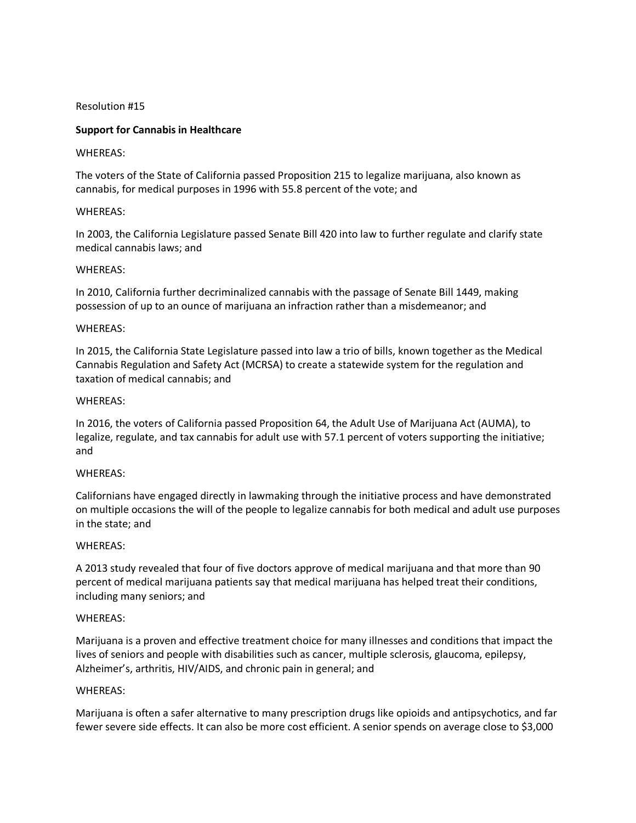### Resolution #15

# **Support for Cannabis in Healthcare**

### WHEREAS:

The voters of the State of California passed Proposition 215 to legalize marijuana, also known as cannabis, for medical purposes in 1996 with 55.8 percent of the vote; and

### WHEREAS:

In 2003, the California Legislature passed Senate Bill 420 into law to further regulate and clarify state medical cannabis laws; and

### WHEREAS:

In 2010, California further decriminalized cannabis with the passage of Senate Bill 1449, making possession of up to an ounce of marijuana an infraction rather than a misdemeanor; and

### WHEREAS:

In 2015, the California State Legislature passed into law a trio of bills, known together as the Medical Cannabis Regulation and Safety Act (MCRSA) to create a statewide system for the regulation and taxation of medical cannabis; and

#### WHEREAS:

In 2016, the voters of California passed Proposition 64, the Adult Use of Marijuana Act (AUMA), to legalize, regulate, and tax cannabis for adult use with 57.1 percent of voters supporting the initiative; and

#### WHEREAS:

Californians have engaged directly in lawmaking through the initiative process and have demonstrated on multiple occasions the will of the people to legalize cannabis for both medical and adult use purposes in the state; and

#### WHEREAS:

A 2013 study revealed that four of five doctors approve of medical marijuana and that more than 90 percent of medical marijuana patients say that medical marijuana has helped treat their conditions, including many seniors; and

#### WHEREAS:

Marijuana is a proven and effective treatment choice for many illnesses and conditions that impact the lives of seniors and people with disabilities such as cancer, multiple sclerosis, glaucoma, epilepsy, Alzheimer's, arthritis, HIV/AIDS, and chronic pain in general; and

#### WHEREAS:

Marijuana is often a safer alternative to many prescription drugs like opioids and antipsychotics, and far fewer severe side effects. It can also be more cost efficient. A senior spends on average close to \$3,000